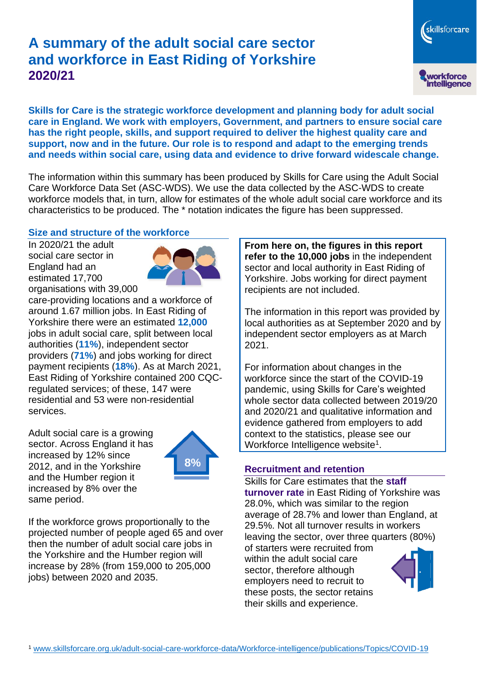# **A summary of the adult social care sector and workforce in East Riding of Yorkshire 2020/21**

skillsforcare workforce<br>intelligence

**Skills for Care is the strategic workforce development and planning body for adult social care in England. We work with employers, Government, and partners to ensure social care has the right people, skills, and support required to deliver the highest quality care and support, now and in the future. Our role is to respond and adapt to the emerging trends and needs within social care, using data and evidence to drive forward widescale change.**

The information within this summary has been produced by Skills for Care using the Adult Social Care Workforce Data Set (ASC-WDS). We use the data collected by the ASC-WDS to create workforce models that, in turn, allow for estimates of the whole adult social care workforce and its characteristics to be produced. The \* notation indicates the figure has been suppressed.

## **Size and structure of the workforce**

In 2020/21 the adult social care sector in England had an estimated 17,700 organisations with 39,000



care-providing locations and a workforce of around 1.67 million jobs. In East Riding of Yorkshire there were an estimated **12,000** jobs in adult social care, split between local authorities (**11%**), independent sector providers (**71%**) and jobs working for direct payment recipients (**18%**). As at March 2021, East Riding of Yorkshire contained 200 CQCregulated services; of these, 147 were residential and 53 were non-residential services.

Adult social care is a growing sector. Across England it has increased by 12% since 2012, and in the Yorkshire and the Humber region it increased by 8% over the same period.



If the workforce grows proportionally to the projected number of people aged 65 and over then the number of adult social care jobs in the Yorkshire and the Humber region will increase by 28% (from 159,000 to 205,000 jobs) between 2020 and 2035.

**From here on, the figures in this report refer to the 10,000 jobs** in the independent sector and local authority in East Riding of Yorkshire. Jobs working for direct payment recipients are not included.

The information in this report was provided by local authorities as at September 2020 and by independent sector employers as at March 2021.

For information about changes in the workforce since the start of the COVID-19 pandemic, using Skills for Care's weighted whole sector data collected between 2019/20 and 2020/21 and qualitative information and evidence gathered from employers to add context to the statistics, please see our Workforce Intelligence website<sup>1</sup>.

## **Recruitment and retention**

Skills for Care estimates that the **staff turnover rate** in East Riding of Yorkshire was 28.0%, which was similar to the region average of 28.7% and lower than England, at 29.5%. Not all turnover results in workers leaving the sector, over three quarters (80%)

of starters were recruited from within the adult social care sector, therefore although employers need to recruit to these posts, the sector retains their skills and experience.

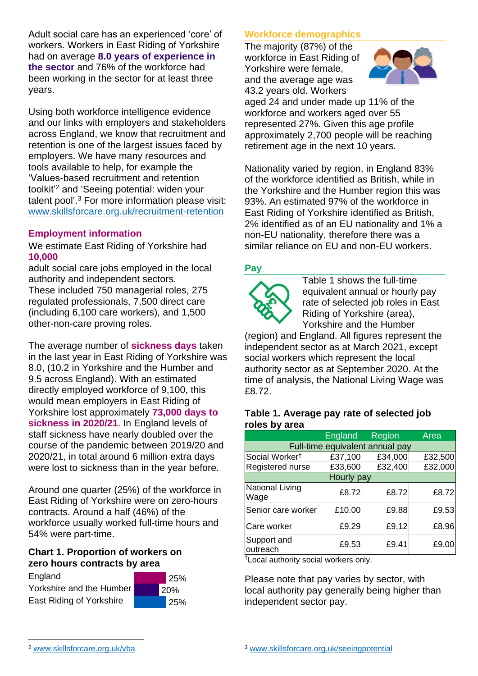Adult social care has an experienced 'core' of workers. Workers in East Riding of Yorkshire had on average **8.0 years of experience in the sector** and 76% of the workforce had been working in the sector for at least three years.

Using both workforce intelligence evidence and our links with employers and stakeholders across England, we know that recruitment and retention is one of the largest issues faced by employers. We have many resources and tools available to help, for example the 'Values-based recruitment and retention toolkit'<sup>2</sup> and 'Seeing potential: widen your talent pool'. <sup>3</sup> For more information please visit: [www.skillsforcare.org.uk/recruitment-retention](http://www.skillsforcare.org.uk/recruitment-retention)

## **Employment information**

We estimate East Riding of Yorkshire had **10,000**

adult social care jobs employed in the local authority and independent sectors. These included 750 managerial roles, 275 regulated professionals, 7,500 direct care (including 6,100 care workers), and 1,500 other-non-care proving roles.

The average number of **sickness days** taken in the last year in East Riding of Yorkshire was 8.0, (10.2 in Yorkshire and the Humber and 9.5 across England). With an estimated directly employed workforce of 9,100, this would mean employers in East Riding of Yorkshire lost approximately **73,000 days to sickness in 2020/21**. In England levels of staff sickness have nearly doubled over the course of the pandemic between 2019/20 and 2020/21, in total around 6 million extra days were lost to sickness than in the year before.

Around one quarter (25%) of the workforce in East Riding of Yorkshire were on zero-hours contracts. Around a half (46%) of the workforce usually worked full-time hours and 54% were part-time.

## **Chart 1. Proportion of workers on zero hours contracts by area**





## **Workforce demographics**

The majority (87%) of the workforce in East Riding of Yorkshire were female, and the average age was 43.2 years old. Workers



aged 24 and under made up 11% of the workforce and workers aged over 55 represented 27%. Given this age profile approximately 2,700 people will be reaching retirement age in the next 10 years.

Nationality varied by region, in England 83% of the workforce identified as British, while in the Yorkshire and the Humber region this was 93%. An estimated 97% of the workforce in East Riding of Yorkshire identified as British, 2% identified as of an EU nationality and 1% a non-EU nationality, therefore there was a similar reliance on EU and non-EU workers.

#### **Pay**



Table 1 shows the full-time equivalent annual or hourly pay rate of selected job roles in East Riding of Yorkshire (area), Yorkshire and the Humber

(region) and England. All figures represent the independent sector as at March 2021, except social workers which represent the local authority sector as at September 2020. At the time of analysis, the National Living Wage was £8.72.

#### **Table 1. Average pay rate of selected job roles by area**

|                                 | <b>England</b> | Region  | Area    |
|---------------------------------|----------------|---------|---------|
| Full-time equivalent annual pay |                |         |         |
| Social Worker <sup>t</sup>      | £37,100        | £34,000 | £32,500 |
| Registered nurse                | £33,600        | £32,400 | £32,000 |
| Hourly pay                      |                |         |         |
| National Living<br>Wage         | £8.72          | £8.72   | £8.72   |
| Senior care worker              | £10.00         | £9.88   | £9.53   |
| Care worker                     | £9.29          | £9.12   | £8.96   |
| Support and<br>outreach         | £9.53          | £9.41   | £9.00   |

†Local authority social workers only.

Please note that pay varies by sector, with local authority pay generally being higher than independent sector pay.

[www.skillsforcare.org.uk/vba](http://www.skillsforcare.org.uk/vba)